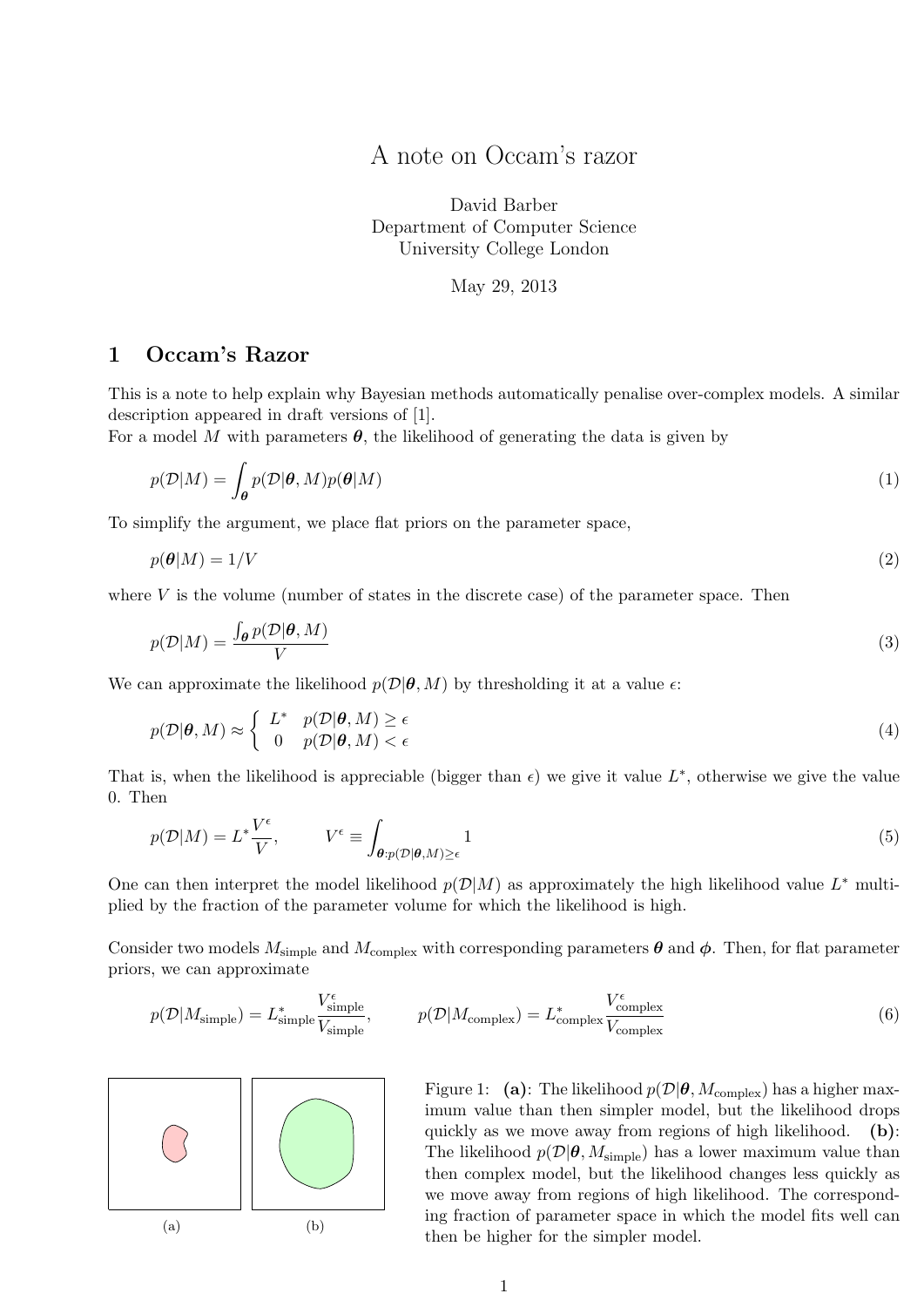A note on Occam's razor

David Barber Department of Computer Science University College London

May 29, 2013

## 1 Occam's Razor

This is a note to help explain why Bayesian methods automatically penalise over-complex models. A similar description appeared in draft versions of [\[1\]](#page-2-0).

For a model M with parameters  $\theta$ , the likelihood of generating the data is given by

$$
p(\mathcal{D}|M) = \int_{\theta} p(\mathcal{D}|\theta, M)p(\theta|M)
$$
 (1)

To simplify the argument, we place flat priors on the parameter space,

$$
p(\boldsymbol{\theta}|M) = 1/V \tag{2}
$$

where  $V$  is the volume (number of states in the discrete case) of the parameter space. Then

$$
p(\mathcal{D}|M) = \frac{\int_{\boldsymbol{\theta}} p(\mathcal{D}|\boldsymbol{\theta}, M)}{V} \tag{3}
$$

We can approximate the likelihood  $p(\mathcal{D}|\boldsymbol{\theta}, M)$  by thresholding it at a value  $\epsilon$ :

$$
p(\mathcal{D}|\boldsymbol{\theta}, M) \approx \begin{cases} L^* & p(\mathcal{D}|\boldsymbol{\theta}, M) \ge \epsilon \\ 0 & p(\mathcal{D}|\boldsymbol{\theta}, M) < \epsilon \end{cases}
$$
(4)

That is, when the likelihood is appreciable (bigger than  $\epsilon$ ) we give it value  $L^*$ , otherwise we give the value 0. Then

$$
p(\mathcal{D}|M) = L^* \frac{V^{\epsilon}}{V}, \qquad V^{\epsilon} \equiv \int_{\theta: p(\mathcal{D}|\theta, M) \ge \epsilon} 1 \tag{5}
$$

One can then interpret the model likelihood  $p(\mathcal{D}|M)$  as approximately the high likelihood value  $L^*$  multiplied by the fraction of the parameter volume for which the likelihood is high.

Consider two models  $M_{\text{simple}}$  and  $M_{\text{complex}}$  with corresponding parameters  $\theta$  and  $\phi$ . Then, for flat parameter priors, we can approximate

$$
p(\mathcal{D}|M_{\text{simple}}) = L_{\text{simple}}^* \frac{V_{\text{simple}}^{\epsilon}}{V_{\text{simple}}}, \qquad p(\mathcal{D}|M_{\text{complex}}) = L_{\text{complex}}^* \frac{V_{\text{complex}}^{\epsilon}}{V_{\text{complex}}}
$$
(6)



<span id="page-0-0"></span>Figure 1: (a): The likelihood  $p(\mathcal{D}|\boldsymbol{\theta}, M_{\text{complex}})$  has a higher maximum value than then simpler model, but the likelihood drops quickly as we move away from regions of high likelihood. (b): The likelihood  $p(\mathcal{D}|\boldsymbol{\theta}, M_{\text{simple}})$  has a lower maximum value than then complex model, but the likelihood changes less quickly as we move away from regions of high likelihood. The corresponding fraction of parameter space in which the model fits well can then be higher for the simpler model.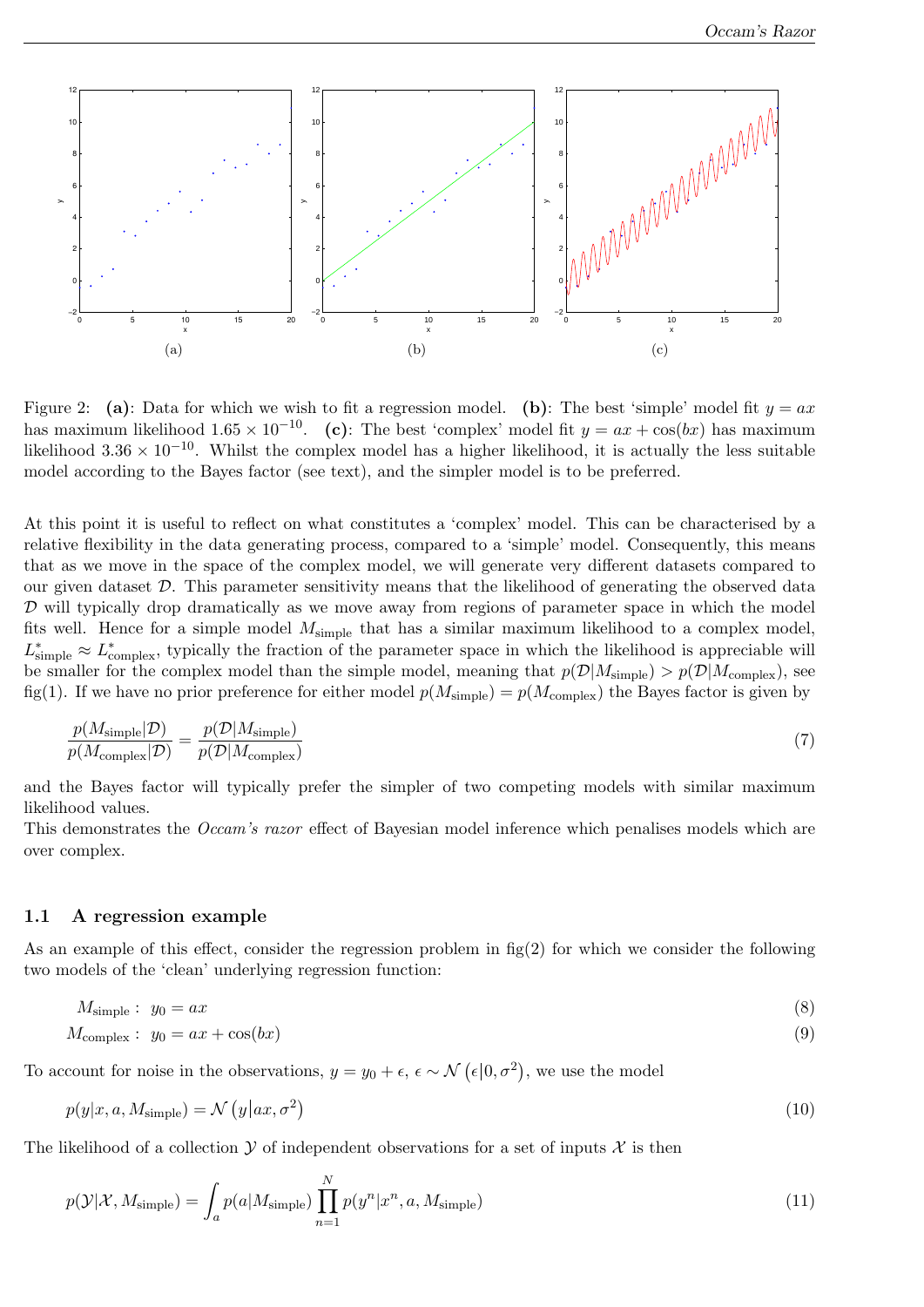Occam's Razor



<span id="page-1-0"></span>Figure 2: (a): Data for which we wish to fit a regression model. (b): The best 'simple' model fit  $y = ax$ has maximum likelihood  $1.65 \times 10^{-10}$ . (c): The best 'complex' model fit  $y = ax + cos(bx)$  has maximum likelihood  $3.36 \times 10^{-10}$ . Whilst the complex model has a higher likelihood, it is actually the less suitable model according to the Bayes factor (see text), and the simpler model is to be preferred.

At this point it is useful to reflect on what constitutes a 'complex' model. This can be characterised by a relative flexibility in the data generating process, compared to a 'simple' model. Consequently, this means that as we move in the space of the complex model, we will generate very different datasets compared to our given dataset  $\mathcal{D}$ . This parameter sensitivity means that the likelihood of generating the observed data  $D$  will typically drop dramatically as we move away from regions of parameter space in which the model fits well. Hence for a simple model  $M_{simple}$  that has a similar maximum likelihood to a complex model,  $L^*_{\text{simple}} \approx L^*_{\text{complex}}$ , typically the fraction of the parameter space in which the likelihood is appreciable will be smaller for the complex model than the simple model, meaning that  $p(\mathcal{D}|M_{\text{simple}}) > p(\mathcal{D}|M_{\text{complex}})$ , see fig[\(1\)](#page-0-0). If we have no prior preference for either model  $p(M_{simple}) = p(M_{complex})$  the Bayes factor is given by

$$
\frac{p(M_{\text{simple}}|\mathcal{D})}{p(M_{\text{complex}}|\mathcal{D})} = \frac{p(\mathcal{D}|M_{\text{simple}})}{p(\mathcal{D}|M_{\text{complex}})}
$$
(7)

and the Bayes factor will typically prefer the simpler of two competing models with similar maximum likelihood values.

This demonstrates the Occam's razor effect of Bayesian model inference which penalises models which are over complex.

## 1.1 A regression example

As an example of this effect, consider the regression problem in  $f(g(2))$  $f(g(2))$  $f(g(2))$  for which we consider the following two models of the 'clean' underlying regression function:

$$
M_{\text{simple}}: y_0 = ax \tag{8}
$$

$$
M_{\text{complex}}: y_0 = ax + \cos(bx) \tag{9}
$$

To account for noise in the observations,  $y = y_0 + \epsilon$ ,  $\epsilon \sim \mathcal{N}(\epsilon | 0, \sigma^2)$ , we use the model

$$
p(y|x, a, M_{\text{simple}}) = \mathcal{N}\left(y|x, \sigma^2\right) \tag{10}
$$

The likelihood of a collection  $\mathcal Y$  of independent observations for a set of inputs  $\mathcal X$  is then

$$
p(\mathcal{Y}|\mathcal{X}, M_{\text{simple}}) = \int_{a} p(a|M_{\text{simple}}) \prod_{n=1}^{N} p(y^n | x^n, a, M_{\text{simple}})
$$
\n(11)